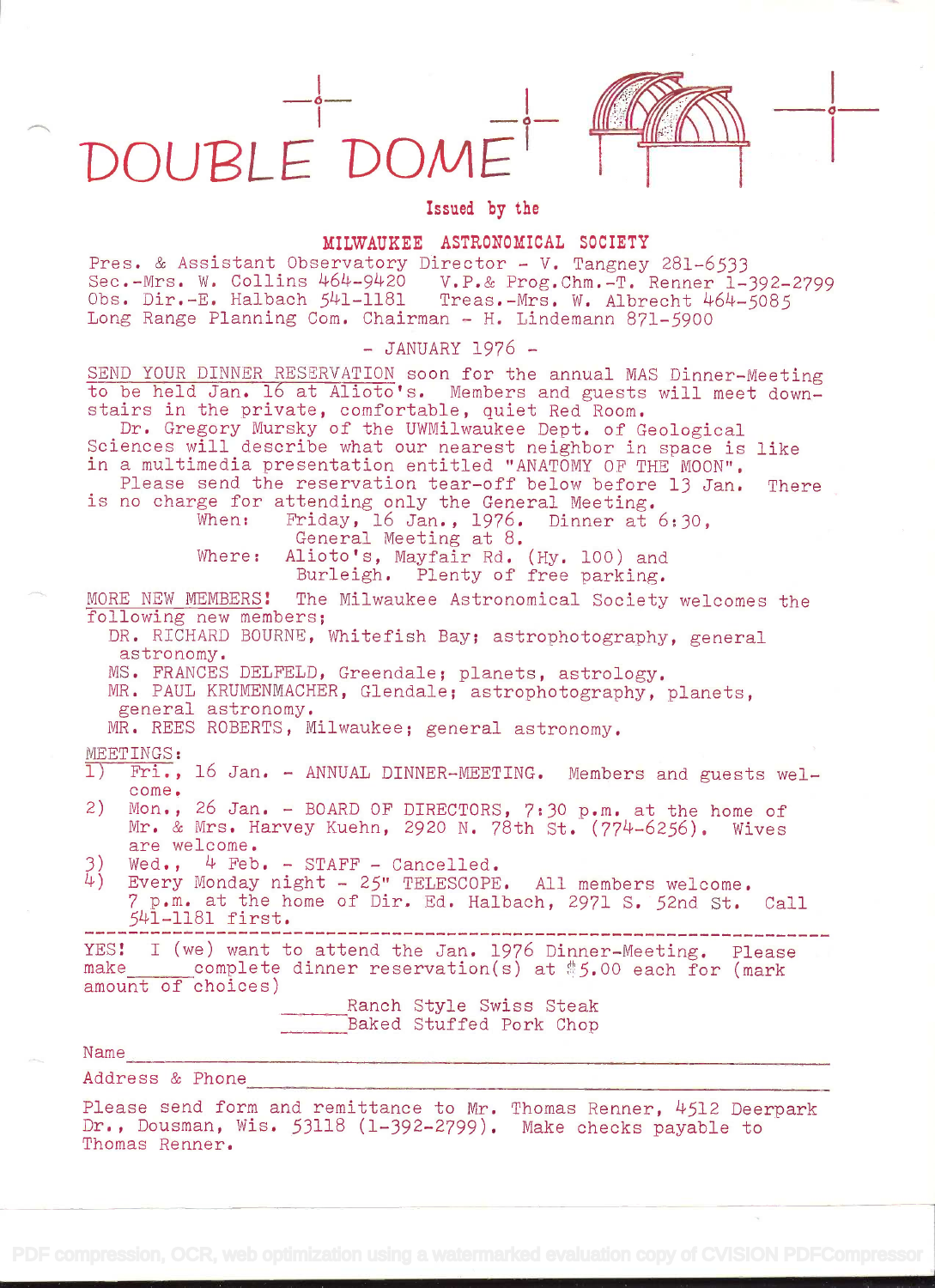DOUBLE DON

Thomas Renner.

Issued by the

## MILWAUKEE ASTRONOMICAL SOCIETY

Pres. & Assistant Observatory Director - V. Tangney 281-6533 Sec.-Mrs. W. Collins L'69L2O v.p.& Prog.Chrn.-T. Renner 1-392-2799  $C$ bs. Dir.-E. Halbach  $541-1181$  Treas.-Mrs. W. Albrecht  $464-5085$ Long Range Planning Com. Chairman - H. Lindemann 871-5900

## - JANUARY 1976 -

SEND YOUR DINNER RESERVATION soon for the annual MAS Dinner-Meeting to be held Jan. 16 at Alioto's. Members and guests will meet down-<br>stairs in the private, comfortable, quiet Red Room.<br>Dr. Gregory Mursky of the UWMilwaukee Dept. of Geological Sciences will describe what our nearest neighbor in space is like<br>in a multimedia presentation entitled "ANATOMY OF THE MOON".<br>Please send the reservation tear-off below before 13 Jan. There<br>is no charge for attending only Alioto's, Mayfair Rd. (Hy. 100) and Burleigh. Plenty of free parking. MORE NEW MEMBERS! The Milwaukee Astronomical Society welcomes the following new members; DR. RICHARD BOURNE, Whitefish Bay; astrophotography, general astronomy. MS. FRANCES DELFELD, Greendale; planets, astrology. MR. PAUL KRUMENMACHER, Glendale; astrophotography, planets, general astronomy. MR. REES ROBERTS, Milwaukee; general astronomy. MEETINGS:<br>1) Fri.. Fri., 16 Jan. - ANNUAL DINNER-MEETING. Members and guests welcome. 2) Mon., 26 Jan. - BOARD OF DIRECTORS, 7:30 p.m. at the home of Mr. & Mrs. Harvey Kuehn, 2920 N. 78th St. (774-6256). Wives are welcome.  $3$ ) Wed.,  $4$  Feb. - STAFF - Cancelled.<br> $4$ ) Every Monday night - 25" TELESCOPE Every Monday night - 25" TELESCOPE. All members welcome.  $7$  p.m. at the home of Dir. Ed. Halbach, 2971 S. 52nd St. Call  $541-1181$  first. YES! I (we) want to attend the Jan. 1976 Dinner-Meeting. Please make complete dinner reservation(s) at \$5.00 each for (mark amount of choices) Ranch Style Swiss Steak Baked Stuffed Pork Chop Name Address & Phone Please send form and remittance to Mr. Thomas Renner, 4512 Deerpark Dr., Dousman, Wis. 53118 (1-392-2799). Make checks payable to